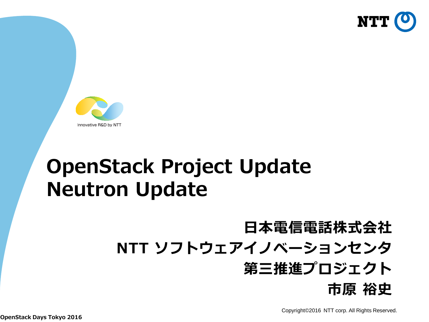



## **OpenStack Project Update Neutron Update**

## **日本電信電話株式会社 NTT ソフトウェアイノベーションセンタ**

#### **第三推進プロジェクト 市原 裕史**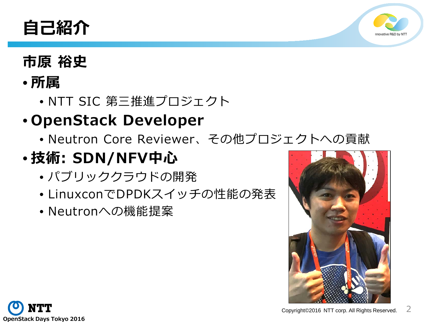



#### **市原 裕史**

#### • **所属**

• NTT SIC 第三推進プロジェクト

#### • **OpenStack Developer**

• Neutron Core Reviewer、その他プロジェクトへの貢献

### • **技術: SDN/NFV中心**

- パブリッククラウドの開発
- LinuxconでDPDKスイッチの性能の発表
- Neutronへの機能提案



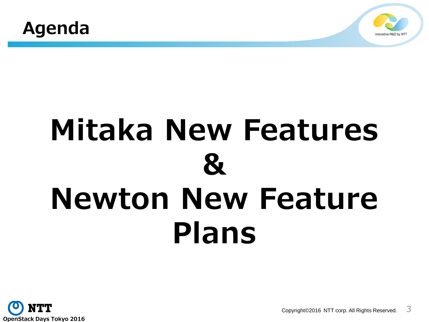



## **Mitaka New Features & Newton New Feature Plans**



Copyright©2016 NTT corp. All Rights Reserved.  $\overline{3}$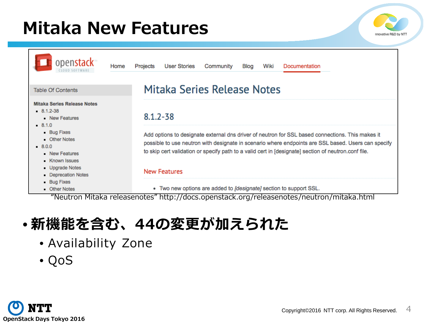## **Mitaka New Features**





#### • **新機能を含む、44の変更が加えられた**

- Availability Zone
- QoS

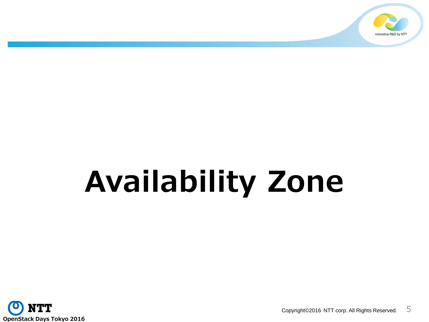

# **Availability Zone**

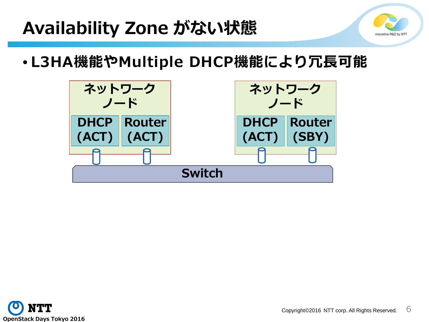## **Availability Zone がない状態**



• **L3HA機能やMultiple DHCP機能により冗長可能**



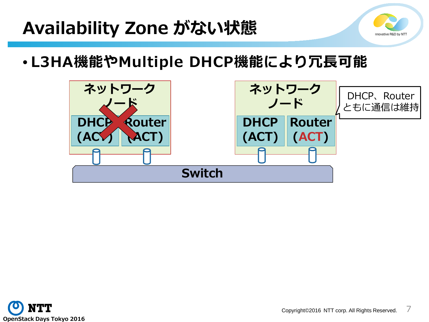## **Availability Zone がない状態**



• **L3HA機能やMultiple DHCP機能により冗長可能**



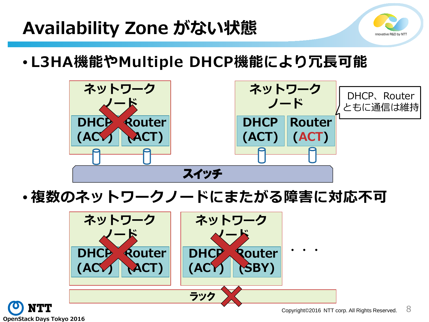## **Availability Zone がない状態**



• **L3HA機能やMultiple DHCP機能により冗長可能**



• **複数のネットワークノードにまたがる障害に対応不可**



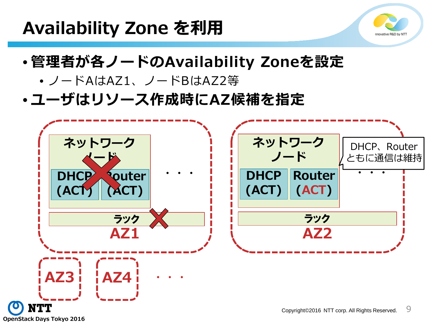### **Availability Zone を利用**



- **管理者が各ノードのAvailability Zoneを設定**
	- ノードAはAZ1、ノードBはAZ2等
- **ユーザはリソース作成時にAZ候補を指定**

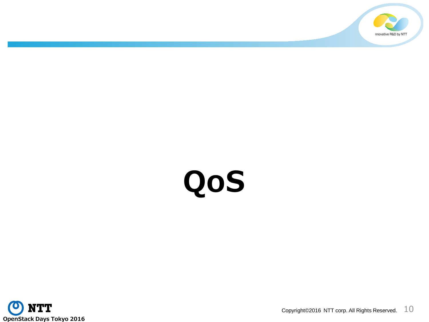

# **QoS**

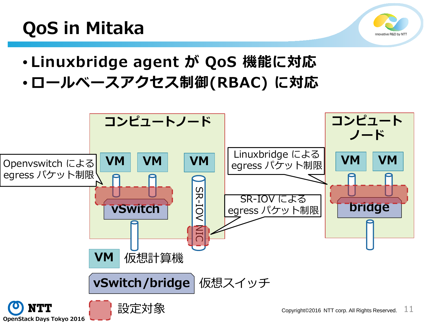## **QoS in Mitaka**



- **Linuxbridge agent が QoS 機能に対応**
- **ロールベースアクセス制御(RBAC) に対応**

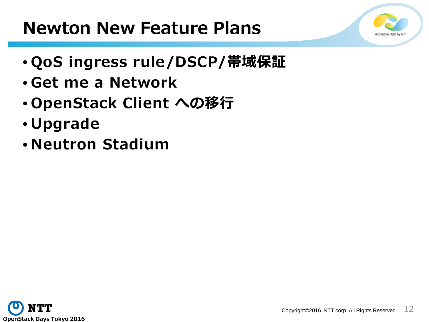#### **Newton New Feature Plans**

- **QoS ingress rule/DSCP/帯域保証**
- **Get me a Network**
- **OpenStack Client への移行**
- **Upgrade**
- **Neutron Stadium**

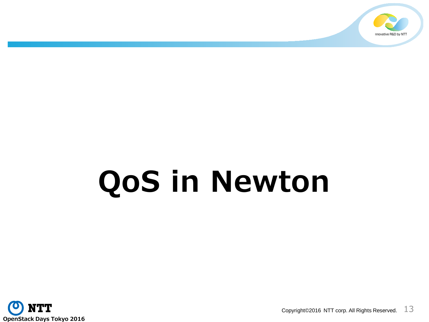

# **QoS in Newton**

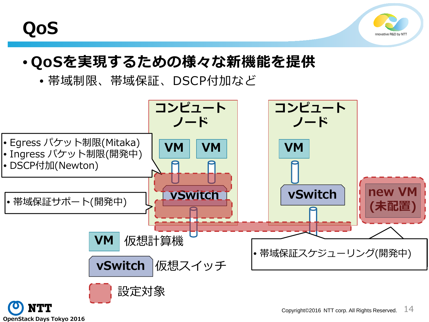



#### • **QoSを実現するための様々な新機能を提供**

• 帯域制限、帯域保証、DSCP付加など

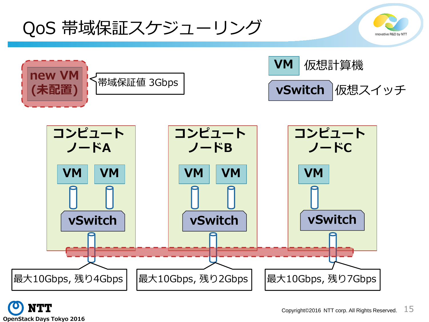QoS 帯域保証スケジューリング





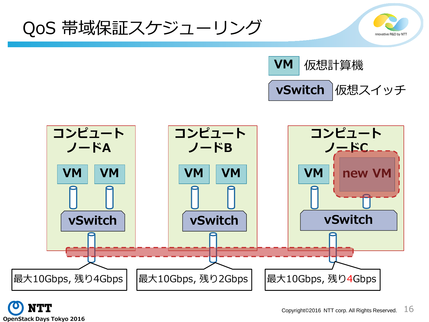QoS 帯域保証スケジューリング







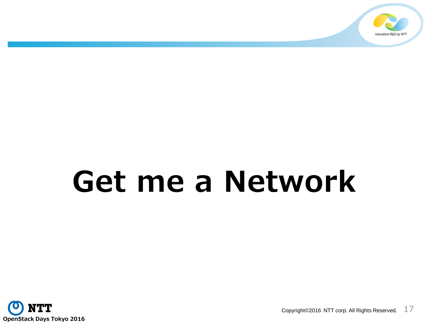

## **Get me a Network**

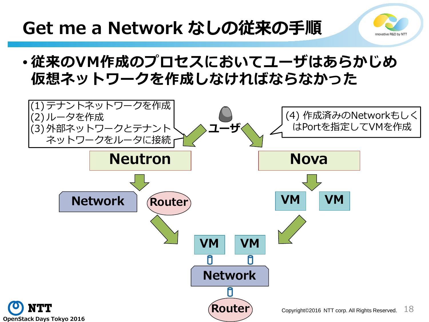## **Get me a Network なしの従来の手順**

• **従来のVM作成のプロセスにおいてユーザはあらかじめ 仮想ネットワークを作成しなければならなかった**

novative R&D by NT

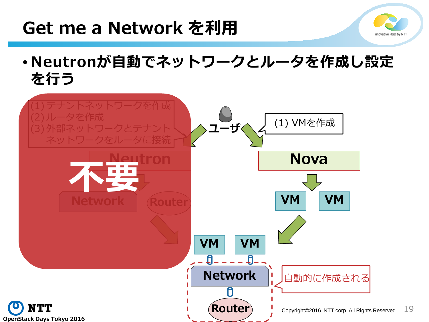#### **Get me a Network を利用**



• **Neutronが自動でネットワークとルータを作成し設定 を行う**

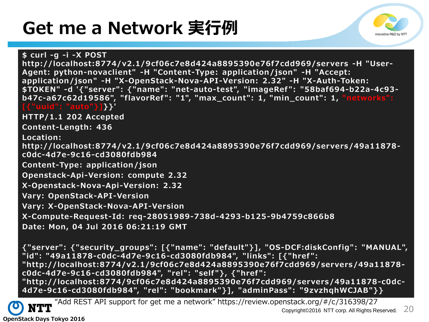## **Get me a Network 実行例**



**\$ curl -g -i -X POST http://localhost:8774/v2.1/9cf06c7e8d424a8895390e76f7cdd969/servers -H "User-Agent: python-novaclient" -H "Content-Type: application/json" -H "Accept: application/json" -H "X-OpenStack-Nova-API-Version: 2.32" -H "X-Auth-Token: \$TOKEN" -d '{"server": {"name": "net-auto-test", "imageRef ": "58baf694-b22a-4c93 b47c-a67c62d19586", "flavorRef ": "1", "max\_count": 1, "min\_count": 1, "networks": [{"uuid": "auto"}]}}' HTTP/1.1 202 Accepted Content-Length: 436 Location: http://localhost:8774/v2.1/9cf06c7e8d424a8895390e76f7cdd969/servers/49a11878 c0dc-4d7e-9c16-cd3080fdb984 Content-Type: application/json Openstack-Api-Version: compute 2.32 X-Openstack-Nova-Api-Version: 2.32 Vary: OpenStack-API-Version Vary: X-OpenStack-Nova-API-Version X-Compute-Request-Id: req-28051989-738d-4293-b125-9b4759c866b8 Date: Mon, 04 Jul 2016 06:21:19 GMT**

**{"server": {"security\_groups": [{"name": "default"}], "OS-DCF:diskConfig": "MANUAL", "id": "49a11878-c0dc-4d7e-9c16-cd3080fdb984", "links": [{"href ": "http://localhost:8774/v2.1/9cf06c7e8d424a8895390e76f7cdd969/servers/49a11878 c0dc-4d7e-9c16-cd3080fdb984", "rel": "self"}, {"href ": "http://localhost:8774/9cf06c7e8d424a8895390e76f7cdd969/servers/49a11878-c0dc-4d7e-9c16-cd3080fdb984", "rel": "bookmark"}], "adminPass": "9zvzhqhWCJAB"}}**



Copyright©2016 NTT corp. All Rights Reserved. 20 "Add REST API support for get me a network" https://review.openstack.org/#/c/316398/27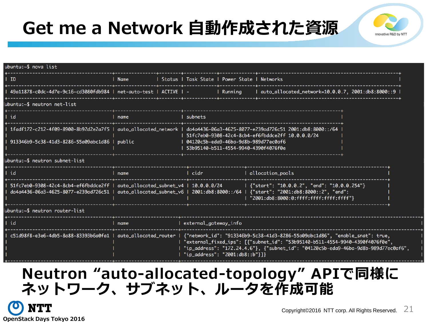## **Get me a Network 自動作成された資源**



| ubuntu:~\$ nova list                                                                                                                                                                                           |        |                                                                                                                                                                                                                                                                                                                                                    |                           |                                                                                             |  |  |
|----------------------------------------------------------------------------------------------------------------------------------------------------------------------------------------------------------------|--------|----------------------------------------------------------------------------------------------------------------------------------------------------------------------------------------------------------------------------------------------------------------------------------------------------------------------------------------------------|---------------------------|---------------------------------------------------------------------------------------------|--|--|
| I ID                                                                                                                                                                                                           | l Name | Status   Task State   Power State   Networks                                                                                                                                                                                                                                                                                                       |                           |                                                                                             |  |  |
| - 49a11878-c0dc-4d7e-9c16-cd3080fdb984   net-auto-test   ACTIVE   -                                                                                                                                            |        |                                                                                                                                                                                                                                                                                                                                                    | <b>1986 - I Running L</b> | l auto_allocated_network=10.0.0.7, 2001:db8:8000::9                                         |  |  |
| ubuntu:~\$ neutron net-list                                                                                                                                                                                    |        |                                                                                                                                                                                                                                                                                                                                                    |                           |                                                                                             |  |  |
| ∣ id                                                                                                                                                                                                           | name   | I subnets                                                                                                                                                                                                                                                                                                                                          |                           |                                                                                             |  |  |
|                                                                                                                                                                                                                |        | 1fadf172-c212-4f09-8900-8b92d2e2a7f5   auto_allocated_network   da4a4436-06a3-4625-8077-e239ad726c51 2001:db8:8000::/64<br>1 51fc7eb0-9308-42c4-8cb4-ef6fbddce2ff 10.0.0.0/24                                                                                                                                                                      |                           |                                                                                             |  |  |
| 913346b9-5c38-41d3-8286-55a09abc1d86   public                                                                                                                                                                  |        | 53b95140-b511-4554-9940-4390f4076f0e                                                                                                                                                                                                                                                                                                               |                           |                                                                                             |  |  |
| ubuntu:~\$ neutron subnet-list                                                                                                                                                                                 |        |                                                                                                                                                                                                                                                                                                                                                    |                           |                                                                                             |  |  |
| ∣ id                                                                                                                                                                                                           | name   | l cidr                                                                                                                                                                                                                                                                                                                                             |                           | allocation_pools                                                                            |  |  |
| l 51fc7eb0-9308-42c4-8cb4-ef6fbddce2ff   auto_allocated_subnet_v4   10.0.0.0/24<br>da4a4436-06a3-4625-8077-e239ad726c51   auto_allocated_subnet_v6   2001:db8:8000::/64   {"start": "2001:db8:8000::2", "end": |        |                                                                                                                                                                                                                                                                                                                                                    |                           | {"start": "10.0.0.2", "end": "10.0.0.254"}<br>  "2001:db8:8000:0:ffff:ffff:ffff:ffff:ffff"} |  |  |
| ubuntu:~\$ neutron router-list                                                                                                                                                                                 |        |                                                                                                                                                                                                                                                                                                                                                    |                           |                                                                                             |  |  |
| id                                                                                                                                                                                                             | name   | external_gateway_info                                                                                                                                                                                                                                                                                                                              |                           |                                                                                             |  |  |
|                                                                                                                                                                                                                |        | c51d98f8-e3e6-4db5-8a88-83393b6a0fa1   auto_allocated_router   {"network_id": "913346b9-5c38-41d3-8286-55a09abc1d86", "enable_snat": true,<br>"external_fixed_ips": [{"subnet_id": "53b95140-b511-4554-9940-4390f4076f0e",<br>"ip_address": "172.24.4.6"}, {"subnet_id": "04120c5b-eda9-46ba-9d8b-989d77ec0af6",<br>"ip_address": "2001:db8::b"}]} |                           |                                                                                             |  |  |

#### **Neutron "auto-allocated-topology" APIで同様に ネットワーク、サブネット、ルータを作成可能**

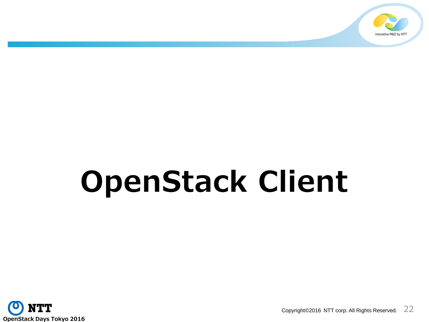

# **OpenStack Client**

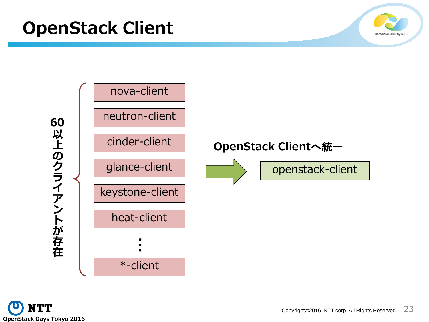



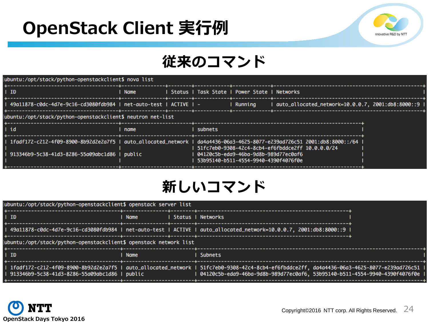## **OpenStack Client 実行例**



#### **従来のコマンド**

| ubuntu:/opt/stack/python-openstackclient\$ nova list                                                                                                                           |        |  |         |                                                                                  |                                                   |  |
|--------------------------------------------------------------------------------------------------------------------------------------------------------------------------------|--------|--|---------|----------------------------------------------------------------------------------|---------------------------------------------------|--|
| ∣ ID                                                                                                                                                                           | l Name |  |         | Status   Task State   Power State   Networks                                     |                                                   |  |
| 49a11878-c0dc-4d7e-9c16-cd3080fdb984              net-auto-test   ACTIVE   -                                                                                                   |        |  |         | Running                                                                          | auto_allocated_network=10.0.0.7, 2001:db8:8000::9 |  |
| ubuntu:/opt/stack/python-openstackclient\$ neutron net-list                                                                                                                    |        |  |         |                                                                                  |                                                   |  |
| l id                                                                                                                                                                           | l name |  | subnets |                                                                                  |                                                   |  |
| l 1fadf172-c212-4f09-8900-8b92d2e2a7f5   auto_allocated_network   da4a4436-06a3-4625-8077-e239ad726c51 2001:db8:8000::/64  <br>  913346b9-5c38-41d3-8286-55a09abc1d86   public |        |  |         | 04120c5b-eda9-46ba-9d8b-989d77ec0af6   ا<br>53b95140-b511-4554-9940-4390f4076f0e | 51fc7eb0-9308-42c4-8cb4-ef6fbddce2ff 10.0.0.0/24  |  |

#### **新しいコマンド**

| ubuntu:/opt/stack/python-openstackclient\$ openstack server list  |             |  |                                                                                                                                                                                                                              |  |  |  |  |
|-------------------------------------------------------------------|-------------|--|------------------------------------------------------------------------------------------------------------------------------------------------------------------------------------------------------------------------------|--|--|--|--|
| <b>ID</b>                                                         | Name        |  | Status   Networks                                                                                                                                                                                                            |  |  |  |  |
|                                                                   |             |  | l 49a11878-c0dc-4d7e-9c16-cd3080fdb984   net-auto-test   ACTIVE   auto_allocated_network=10.0.0.7, 2001:db8:8000::9                                                                                                          |  |  |  |  |
| ubuntu:/opt/stack/python-openstackclient\$ openstack network list |             |  |                                                                                                                                                                                                                              |  |  |  |  |
| <b>ID</b>                                                         | <b>Name</b> |  | <b>Subnets</b>                                                                                                                                                                                                               |  |  |  |  |
| 913346b9-5c38-41d3-8286-55a09abc1d86   public                     |             |  | l 1fadf172-c212-4f09-8900-8b92d2e2a7f5 l auto_allocated_network l 51fc7eb0-9308-42c4-8cb4-ef6fbddce2ff, da4a4436-06a3-4625-8077-e239ad726c51<br>l 04120c5b-eda9-46ba-9d8b-989d77ec0af6, 53b95140-b511-4554-9940-4390f4076f0e |  |  |  |  |

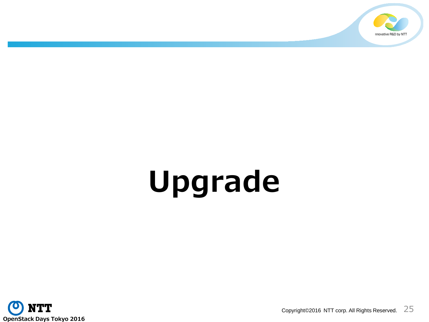

## **Upgrade**

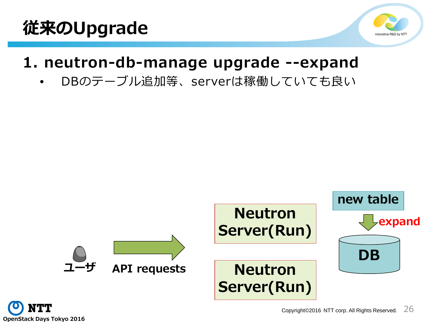

#### **1. neutron-db-manage upgrade --expand**

• DBのテーブル追加等、serverは稼働していても良い



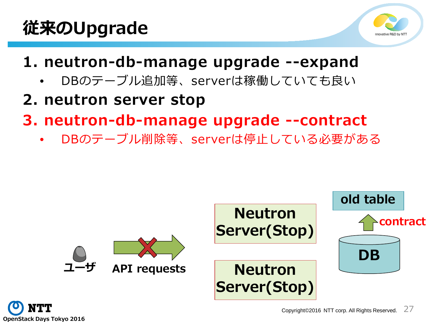

#### **1. neutron-db-manage upgrade --expand**

- DBのテーブル追加等、serverは稼働していても良い
- **2. neutron server stop**
- **3. neutron-db-manage upgrade --contract**
	- DBのテーブル削除等、serverは停止している必要がある



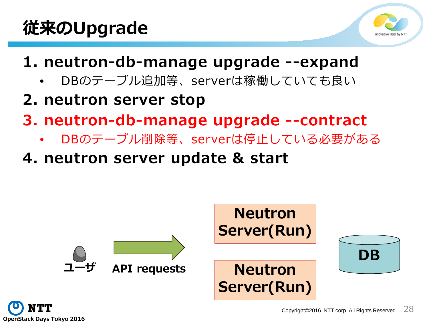

- **1. neutron-db-manage upgrade --expand**
	- DBのテーブル追加等、serverは稼働していても良い
- **2. neutron server stop**
- **3. neutron-db-manage upgrade --contract**
	- DBのテーブル削除等、serverは停止している必要がある
- **4. neutron server update & start**



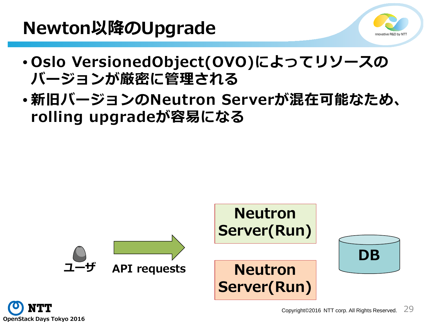#### **Newton以降のUpgrade**



- **Oslo VersionedObject(OVO)によってリソースの バージョンが厳密に管理される**
- **新旧バージョンのNeutron Serverが混在可能なため、 rolling upgradeが容易になる**



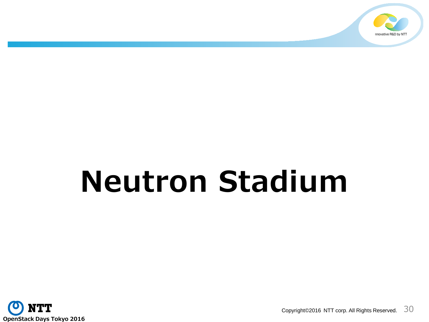

## **Neutron Stadium**

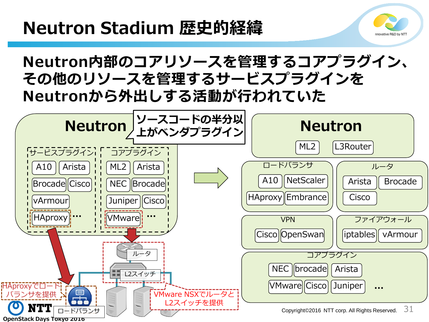## **Neutron Stadium 歴史的経緯**



#### **Neutron内部のコアリソースを管理するコアプラグイン、 その他のリソースを管理するサービスプラグインを Neutronから外出しする活動が行われていた**

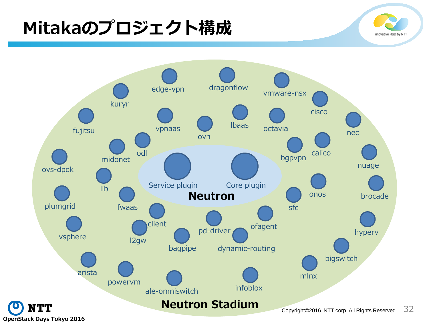## **Mitakaのプロジェクト構成**



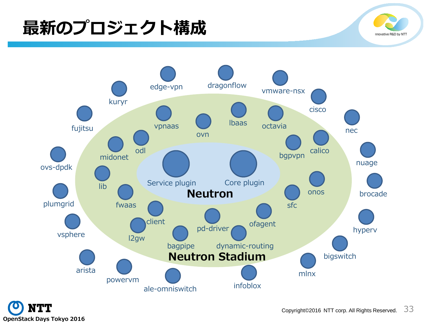## **最新のプロジェクト構成**